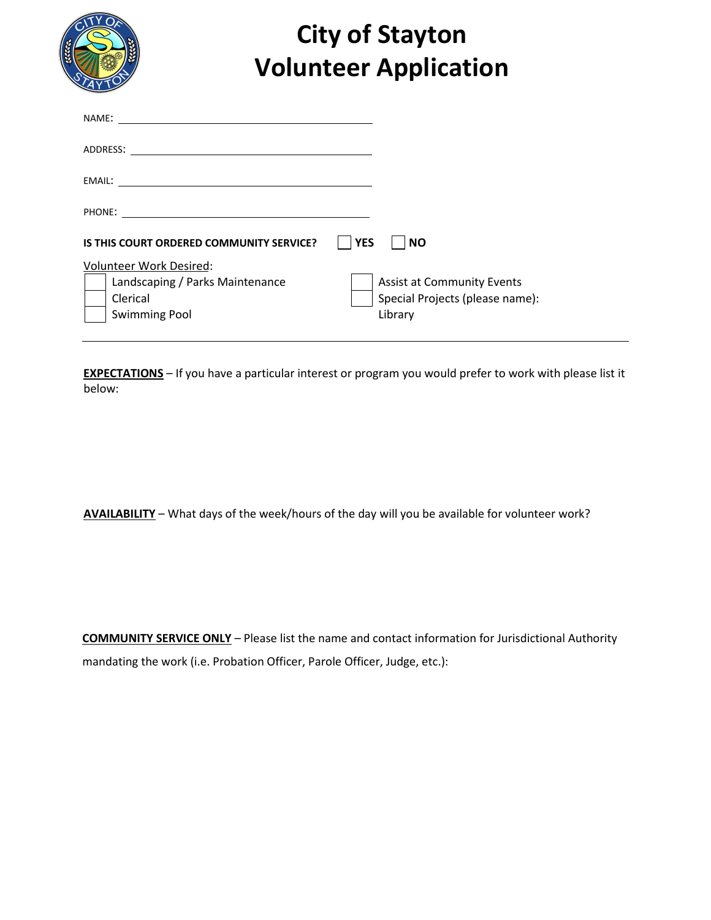

## **City of Stayton Volunteer Application**

| IS THIS COURT ORDERED COMMUNITY SERVICE?                                                              | <b>YES</b><br><b>NO</b>                                                         |
|-------------------------------------------------------------------------------------------------------|---------------------------------------------------------------------------------|
| <b>Volunteer Work Desired:</b><br>Landscaping / Parks Maintenance<br>Clerical<br><b>Swimming Pool</b> | <b>Assist at Community Events</b><br>Special Projects (please name):<br>Library |

**EXPECTATIONS** – If you have a particular interest or program you would prefer to work with please list it below:

**AVAILABILITY** – What days of the week/hours of the day will you be available for volunteer work?

**COMMUNITY SERVICE ONLY** – Please list the name and contact information for Jurisdictional Authority mandating the work (i.e. Probation Officer, Parole Officer, Judge, etc.):